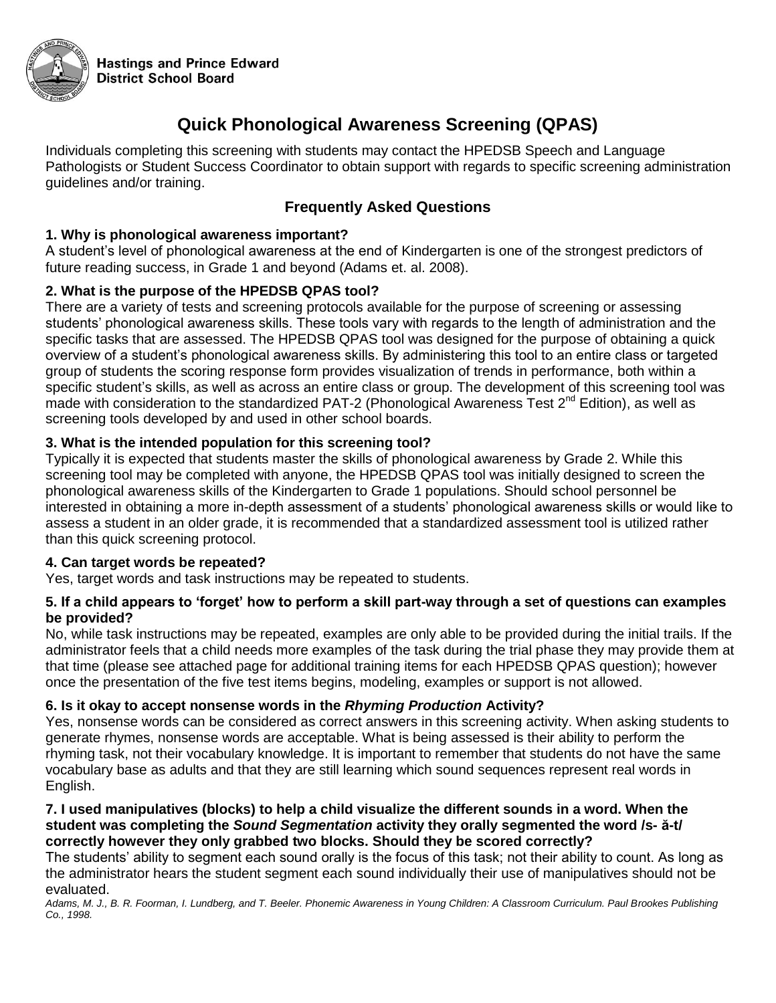

**Hastings and Prince Edward District School Board** 

## **Quick Phonological Awareness Screening (QPAS)**

Individuals completing this screening with students may contact the HPEDSB Speech and Language Pathologists or Student Success Coordinator to obtain support with regards to specific screening administration guidelines and/or training.

### **Frequently Asked Questions**

#### **1. Why is phonological awareness important?**

A student's level of phonological awareness at the end of Kindergarten is one of the strongest predictors of future reading success, in Grade 1 and beyond (Adams et. al. 2008).

#### **2. What is the purpose of the HPEDSB QPAS tool?**

There are a variety of tests and screening protocols available for the purpose of screening or assessing students' phonological awareness skills. These tools vary with regards to the length of administration and the specific tasks that are assessed. The HPEDSB QPAS tool was designed for the purpose of obtaining a quick overview of a student's phonological awareness skills. By administering this tool to an entire class or targeted group of students the scoring response form provides visualization of trends in performance, both within a specific student's skills, as well as across an entire class or group. The development of this screening tool was made with consideration to the standardized PAT-2 (Phonological Awareness Test  $2^{nd}$  Edition), as well as screening tools developed by and used in other school boards.

#### **3. What is the intended population for this screening tool?**

Typically it is expected that students master the skills of phonological awareness by Grade 2. While this screening tool may be completed with anyone, the HPEDSB QPAS tool was initially designed to screen the phonological awareness skills of the Kindergarten to Grade 1 populations. Should school personnel be interested in obtaining a more in-depth assessment of a students' phonological awareness skills or would like to assess a student in an older grade, it is recommended that a standardized assessment tool is utilized rather than this quick screening protocol.

#### **4. Can target words be repeated?**

Yes, target words and task instructions may be repeated to students.

#### **5. If a child appears to 'forget' how to perform a skill part-way through a set of questions can examples be provided?**

No, while task instructions may be repeated, examples are only able to be provided during the initial trails. If the administrator feels that a child needs more examples of the task during the trial phase they may provide them at that time (please see attached page for additional training items for each HPEDSB QPAS question); however once the presentation of the five test items begins, modeling, examples or support is not allowed.

#### **6. Is it okay to accept nonsense words in the** *Rhyming Production* **Activity?**

Yes, nonsense words can be considered as correct answers in this screening activity. When asking students to generate rhymes, nonsense words are acceptable. What is being assessed is their ability to perform the rhyming task, not their vocabulary knowledge. It is important to remember that students do not have the same vocabulary base as adults and that they are still learning which sound sequences represent real words in English.

#### **7. I used manipulatives (blocks) to help a child visualize the different sounds in a word. When the student was completing the** *Sound Segmentation* **activity they orally segmented the word /s- ă-t/ correctly however they only grabbed two blocks. Should they be scored correctly?**

The students' ability to segment each sound orally is the focus of this task; not their ability to count. As long as the administrator hears the student segment each sound individually their use of manipulatives should not be evaluated.

*Adams, M. J., B. R. Foorman, I. Lundberg, and T. Beeler. Phonemic Awareness in Young Children: A Classroom Curriculum. Paul Brookes Publishing Co., 1998.*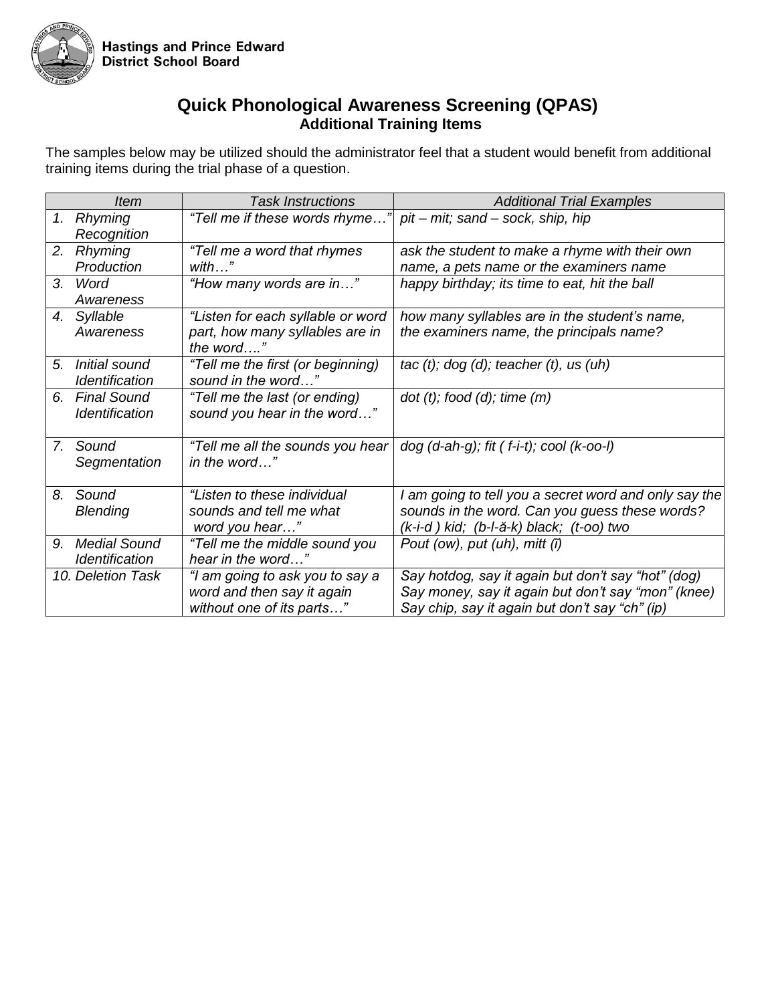

## **Quick Phonological Awareness Screening (QPAS) Additional Training Items**

The samples below may be utilized should the administrator feel that a student would benefit from additional training items during the trial phase of a question.

|                | <i>Item</i>                                  | <b>Task Instructions</b>                                                          | <b>Additional Trial Examples</b>                                                          |
|----------------|----------------------------------------------|-----------------------------------------------------------------------------------|-------------------------------------------------------------------------------------------|
|                | 1. Rhyming<br>Recognition                    | "Tell me if these words rhyme"                                                    | pit - mit; sand - sock, ship, hip                                                         |
| 2.             | <b>Rhyming</b>                               | "Tell me a word that rhymes                                                       | ask the student to make a rhyme with their own                                            |
|                | Production                                   | $with$ "                                                                          | name, a pets name or the examiners name                                                   |
| 3.             | Word                                         | "How many words are in"                                                           | happy birthday; its time to eat, hit the ball                                             |
|                | Awareness                                    |                                                                                   |                                                                                           |
|                | 4. Syllable<br>Awareness                     | "Listen for each syllable or word<br>part, how many syllables are in<br>the word" | how many syllables are in the student's name,<br>the examiners name, the principals name? |
| 5 <sub>1</sub> | Initial sound                                | "Tell me the first (or beginning)                                                 | tac $(t)$ ; dog $(d)$ ; teacher $(t)$ , us $(uh)$                                         |
|                | Identification                               | sound in the word"                                                                |                                                                                           |
| 6.             | <b>Final Sound</b><br><b>Identification</b>  | "Tell me the last (or ending)<br>sound you hear in the word"                      | $dot(t)$ ; food $(d)$ ; time $(m)$                                                        |
| 7.             | Sound<br>Segmentation                        | "Tell me all the sounds you hear<br>in the word"                                  | $dog (d-ah-g);$ fit $(f-i-t);$ cool $(k-oo-l)$                                            |
| 8.             | Sound                                        | "Listen to these individual                                                       | I am going to tell you a secret word and only say the                                     |
|                | <b>Blending</b>                              | sounds and tell me what                                                           | sounds in the word. Can you guess these words?                                            |
|                |                                              | word you hear"                                                                    | (k-i-d) kid; (b-l-ă-k) black; (t-oo) two                                                  |
| 9.             | <b>Medial Sound</b><br><b>Identification</b> | "Tell me the middle sound you<br>hear in the word"                                | Pout (ow), put (uh), mitt $(\tilde{l})$                                                   |
|                | 10. Deletion Task                            | "I am going to ask you to say a                                                   | Say hotdog, say it again but don't say "hot" (dog)                                        |
|                |                                              | word and then say it again                                                        | Say money, say it again but don't say "mon" (knee)                                        |
|                |                                              | without one of its parts"                                                         | Say chip, say it again but don't say "ch" (ip)                                            |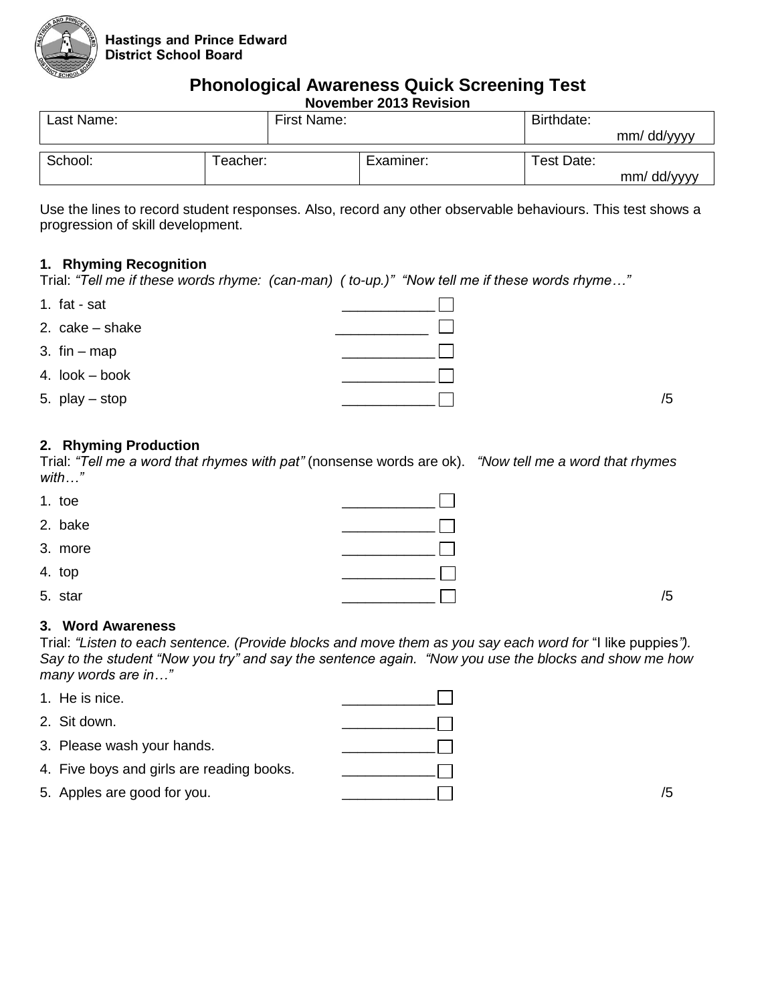

# **Phonological Awareness Quick Screening Test**

**November 2013 Revision**

| Last Name: |          | First Name: |            |            |
|------------|----------|-------------|------------|------------|
|            |          |             |            | mm/dd/yyyy |
|            |          |             |            |            |
| School:    | Teacher: | Examiner:   | Test Date: |            |
|            |          |             |            | mm/dd/yyyy |

Use the lines to record student responses. Also, record any other observable behaviours. This test shows a progression of skill development.

#### **1. Rhyming Recognition**

Trial: *"Tell me if these words rhyme: (can-man) ( to-up.)" "Now tell me if these words rhyme…"*

| 1. fat - sat    |    |
|-----------------|----|
| 2. cake – shake |    |
| 3. $fin - map$  |    |
| 4. look – book  |    |
| 5. play – stop  | /5 |

#### **2. Rhyming Production**

Trial: *"Tell me a word that rhymes with pat"* (nonsense words are ok). *"Now tell me a word that rhymes with…"*

| 1. toe  |    |
|---------|----|
| 2. bake |    |
| 3. more |    |
| 4. top  |    |
| 5. star | /5 |

#### **3. Word Awareness**

Trial: *"Listen to each sentence. (Provide blocks and move them as you say each word for* "I like puppies*"). Say to the student "Now you try" and say the sentence again. "Now you use the blocks and show me how many words are in…"*

| 1. He is nice.                            |    |
|-------------------------------------------|----|
| 2. Sit down.                              |    |
| 3. Please wash your hands.                |    |
| 4. Five boys and girls are reading books. |    |
| 5. Apples are good for you.               | /5 |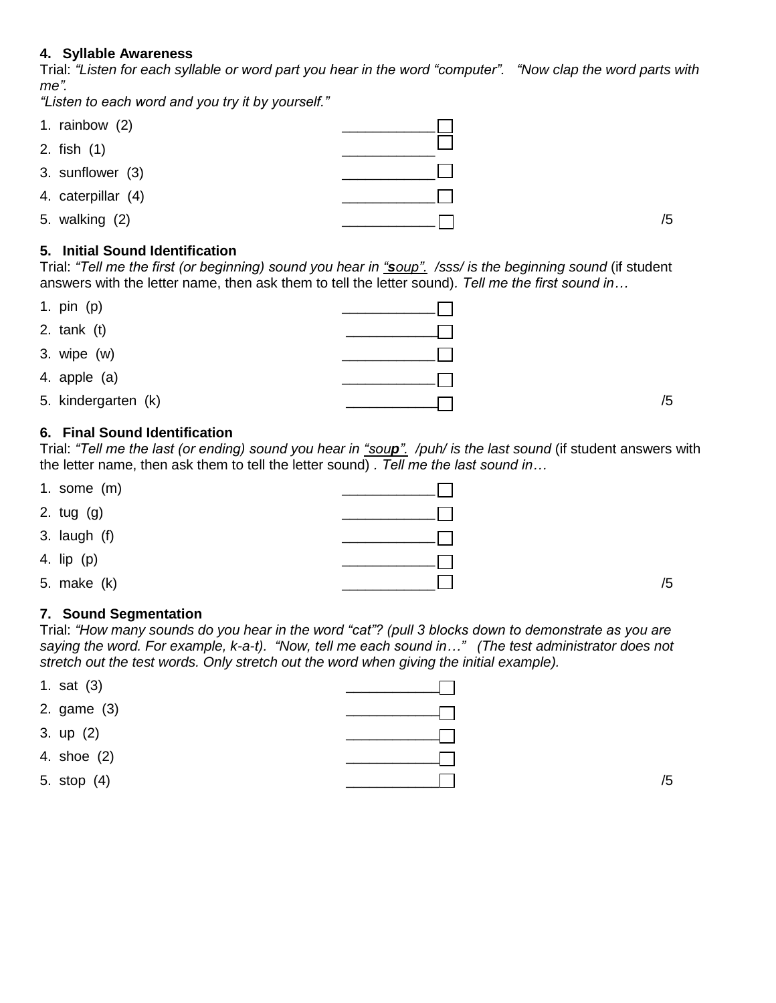#### **4. Syllable Awareness**

Trial: *"Listen for each syllable or word part you hear in the word "computer". "Now clap the word parts with me".* 

*"Listen to each word and you try it by yourself."*

| 1. rainbow $(2)$   |    |
|--------------------|----|
| 2. fish (1)        |    |
| 3. sunflower (3)   |    |
| 4. caterpillar (4) |    |
| 5. walking (2)     | /5 |

#### **5. Initial Sound Identification**

Trial: *"Tell me the first (or beginning) sound you hear in "soup". /sss/ is the beginning sound* (if student answers with the letter name, then ask them to tell the letter sound)*. Tell me the first sound in…*

| 1. pin (p)          |    |
|---------------------|----|
| 2. $tank(t)$        |    |
| 3. wipe $(w)$       |    |
| 4. apple (a)        |    |
| 5. kindergarten (k) | /5 |

#### **6. Final Sound Identification**

Trial: *"Tell me the last (or ending) sound you hear in "soup". /puh/ is the last sound* (if student answers with the letter name, then ask them to tell the letter sound) *. Tell me the last sound in…*

| 1. some $(m)$  |    |
|----------------|----|
| 2. tug (g)     |    |
| 3. laugh $(f)$ |    |
| 4. lip (p)     |    |
| 5. make (k)    | /5 |

#### **7. Sound Segmentation**

Trial: *"How many sounds do you hear in the word "cat"? (pull 3 blocks down to demonstrate as you are saying the word. For example, k-a-t). "Now, tell me each sound in…" (The test administrator does not stretch out the test words. Only stretch out the word when giving the initial example).* 

| 1. sat $(3)$ |    |
|--------------|----|
| 2. game (3)  |    |
| 3. up (2)    |    |
| 4. shoe (2)  |    |
| 5. stop (4)  | /5 |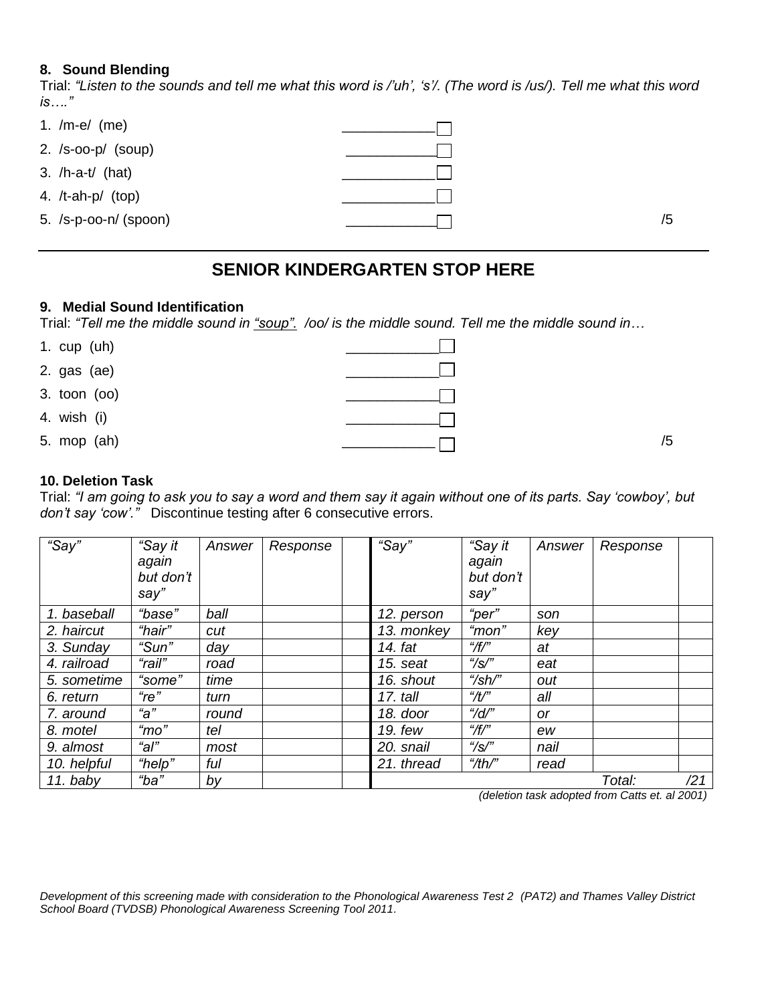#### **8. Sound Blending**

Trial: *"Listen to the sounds and tell me what this word is /'uh', 's'/. (The word is /us/). Tell me what this word is…."*

| 1. $/m-e/$ (me)          |    |
|--------------------------|----|
| 2. $/s$ -oo-p $/$ (soup) |    |
| 3. $/h$ -a-t $/$ (hat)   |    |
| 4. $/t$ -ah-p $/$ (top)  |    |
| 5. $/s-p-oo-n/$ (spoon)  | /5 |

## **SENIOR KINDERGARTEN STOP HERE**

#### **9. Medial Sound Identification**

Trial: *"Tell me the middle sound in "soup". /oo/ is the middle sound. Tell me the middle sound in…*

| 1. cup (uh)  |    |
|--------------|----|
| 2. gas (ae)  |    |
| 3. toon (oo) |    |
| 4. wish (i)  |    |
| 5. mop (ah)  | /5 |

#### **10. Deletion Task**

Trial: *"I am going to ask you to say a word and them say it again without one of its parts. Say 'cowboy', but don't say 'cow'."* Discontinue testing after 6 consecutive errors.

| "Say"       | "Say it<br>again<br>but don't<br>say'' | Answer | Response | "Say"      | "Say it<br>again<br>but don't<br>say'' | Answer                      | Response |     |
|-------------|----------------------------------------|--------|----------|------------|----------------------------------------|-----------------------------|----------|-----|
| 1. baseball | "base"                                 | ball   |          | 12. person | "per"                                  | son                         |          |     |
| 2. haircut  | "hair"                                 | cut    |          | 13. monkey | "mon"                                  | key                         |          |     |
| 3. Sunday   | "Sun"                                  | day    |          | 14. fat    | $^{\prime\prime}$ /f/"                 | at                          |          |     |
| 4. railroad | "rail"                                 | road   |          | 15. seat   | $\frac{1}{2}$ / $\frac{1}{2}$          | eat                         |          |     |
| 5. sometime | "some"                                 | time   |          | 16. shout  | $\frac{4}{5}$ h/"                      | out                         |          |     |
| 6. return   | $"$ re"                                | turn   |          | 17. tall   | $\mathscr{H}'$                         | all                         |          |     |
| 7. around   | " $a$ "                                | round  |          | 18. door   | "/d/"                                  | <b>or</b>                   |          |     |
| 8. motel    | $\degree$ mo"                          | tel    |          | 19. few    | $^{\prime\prime}$ /f/"                 | ew                          |          |     |
| 9. almost   | "al"                                   | most   |          | 20. snail  | $\frac{1}{2}$ / $\frac{1}{2}$          | nail                        |          |     |
| 10. helpful | "help"                                 | ful    |          | 21. thread | ''/th''                                | read                        |          |     |
| $11.$ baby  | "ba"                                   | by     |          |            | .                                      | $\sim$ $\sim$ $\sim$ $\sim$ | Total:   | /21 |

*(deletion task adopted from Catts et. al 2001)*

*Development of this screening made with consideration to the Phonological Awareness Test 2 (PAT2) and Thames Valley District School Board (TVDSB) Phonological Awareness Screening Tool 2011.*